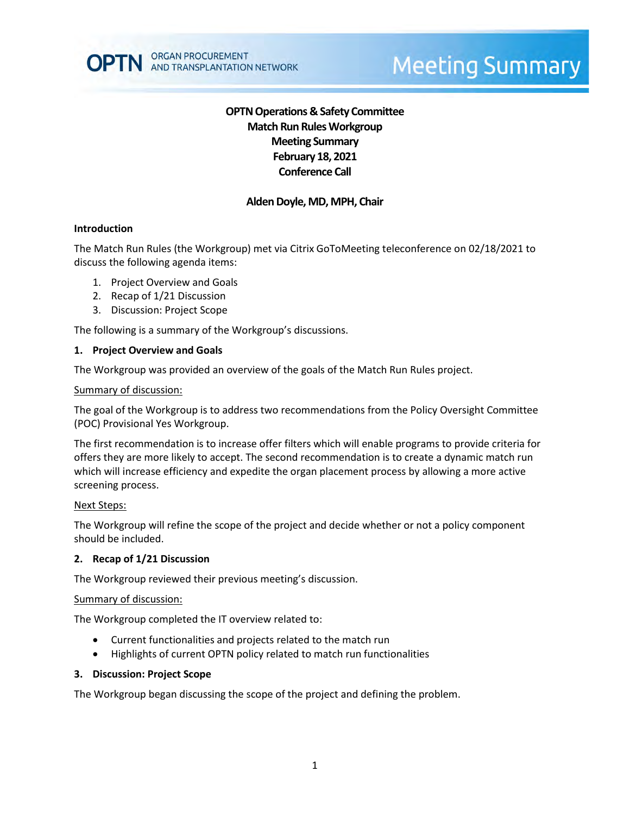# **OPTN Operations & Safety Committee Match Run RulesWorkgroup Meeting Summary February 18, 2021 Conference Call**

# **Alden Doyle, MD, MPH, Chair**

### **Introduction**

The Match Run Rules (the Workgroup) met via Citrix GoToMeeting teleconference on 02/18/2021 to discuss the following agenda items:

- 1. Project Overview and Goals
- 2. Recap of 1/21 Discussion
- 3. Discussion: Project Scope

The following is a summary of the Workgroup's discussions.

#### **1. Project Overview and Goals**

The Workgroup was provided an overview of the goals of the Match Run Rules project.

#### Summary of discussion:

The goal of the Workgroup is to address two recommendations from the Policy Oversight Committee (POC) Provisional Yes Workgroup.

The first recommendation is to increase offer filters which will enable programs to provide criteria for offers they are more likely to accept. The second recommendation is to create a dynamic match run which will increase efficiency and expedite the organ placement process by allowing a more active screening process.

### Next Steps:

The Workgroup will refine the scope of the project and decide whether or not a policy component should be included.

#### **2. Recap of 1/21 Discussion**

The Workgroup reviewed their previous meeting's discussion.

#### Summary of discussion:

The Workgroup completed the IT overview related to:

- Current functionalities and projects related to the match run
- Highlights of current OPTN policy related to match run functionalities

#### **3. Discussion: Project Scope**

The Workgroup began discussing the scope of the project and defining the problem.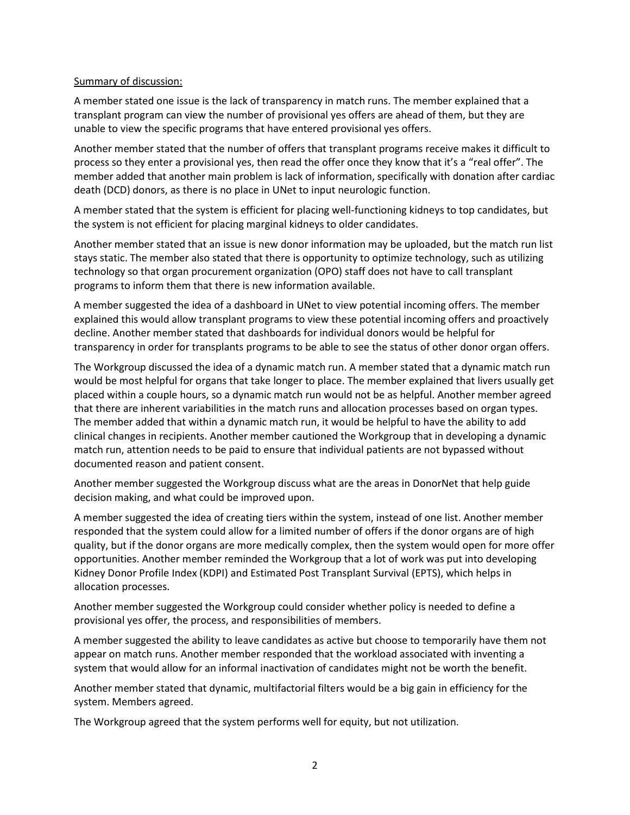### Summary of discussion:

A member stated one issue is the lack of transparency in match runs. The member explained that a transplant program can view the number of provisional yes offers are ahead of them, but they are unable to view the specific programs that have entered provisional yes offers.

Another member stated that the number of offers that transplant programs receive makes it difficult to process so they enter a provisional yes, then read the offer once they know that it's a "real offer". The member added that another main problem is lack of information, specifically with donation after cardiac death (DCD) donors, as there is no place in UNet to input neurologic function.

A member stated that the system is efficient for placing well-functioning kidneys to top candidates, but the system is not efficient for placing marginal kidneys to older candidates.

Another member stated that an issue is new donor information may be uploaded, but the match run list stays static. The member also stated that there is opportunity to optimize technology, such as utilizing technology so that organ procurement organization (OPO) staff does not have to call transplant programs to inform them that there is new information available.

A member suggested the idea of a dashboard in UNet to view potential incoming offers. The member explained this would allow transplant programs to view these potential incoming offers and proactively decline. Another member stated that dashboards for individual donors would be helpful for transparency in order for transplants programs to be able to see the status of other donor organ offers.

The Workgroup discussed the idea of a dynamic match run. A member stated that a dynamic match run would be most helpful for organs that take longer to place. The member explained that livers usually get placed within a couple hours, so a dynamic match run would not be as helpful. Another member agreed that there are inherent variabilities in the match runs and allocation processes based on organ types. The member added that within a dynamic match run, it would be helpful to have the ability to add clinical changes in recipients. Another member cautioned the Workgroup that in developing a dynamic match run, attention needs to be paid to ensure that individual patients are not bypassed without documented reason and patient consent.

Another member suggested the Workgroup discuss what are the areas in DonorNet that help guide decision making, and what could be improved upon.

A member suggested the idea of creating tiers within the system, instead of one list. Another member responded that the system could allow for a limited number of offers if the donor organs are of high quality, but if the donor organs are more medically complex, then the system would open for more offer opportunities. Another member reminded the Workgroup that a lot of work was put into developing Kidney Donor Profile Index (KDPI) and Estimated Post Transplant Survival (EPTS), which helps in allocation processes.

Another member suggested the Workgroup could consider whether policy is needed to define a provisional yes offer, the process, and responsibilities of members.

A member suggested the ability to leave candidates as active but choose to temporarily have them not appear on match runs. Another member responded that the workload associated with inventing a system that would allow for an informal inactivation of candidates might not be worth the benefit.

Another member stated that dynamic, multifactorial filters would be a big gain in efficiency for the system. Members agreed.

The Workgroup agreed that the system performs well for equity, but not utilization.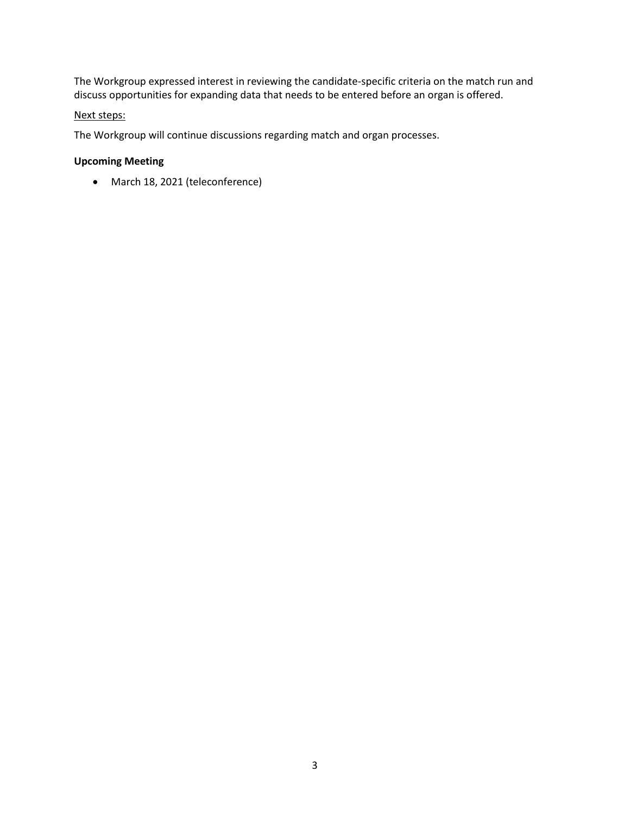The Workgroup expressed interest in reviewing the candidate-specific criteria on the match run and discuss opportunities for expanding data that needs to be entered before an organ is offered.

### Next steps:

The Workgroup will continue discussions regarding match and organ processes.

# **Upcoming Meeting**

March 18, 2021 (teleconference)